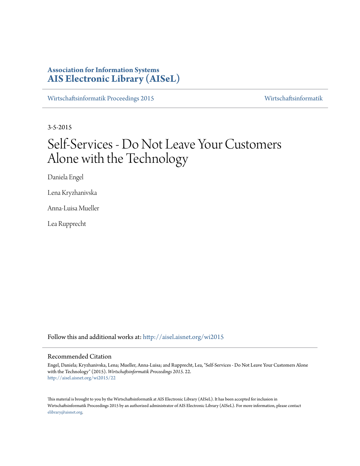# **Association for Information Systems [AIS Electronic Library \(AISeL\)](http://aisel.aisnet.org?utm_source=aisel.aisnet.org%2Fwi2015%2F22&utm_medium=PDF&utm_campaign=PDFCoverPages)**

[Wirtschaftsinformatik Proceedings 2015](http://aisel.aisnet.org/wi2015?utm_source=aisel.aisnet.org%2Fwi2015%2F22&utm_medium=PDF&utm_campaign=PDFCoverPages) [Wirtschaftsinformatik](http://aisel.aisnet.org/wi?utm_source=aisel.aisnet.org%2Fwi2015%2F22&utm_medium=PDF&utm_campaign=PDFCoverPages)

3-5-2015

# Self-Services - Do Not Leave Your Customers Alone with the Technology

Daniela Engel

Lena Kryzhanivska

Anna-Luisa Mueller

Lea Rupprecht

Follow this and additional works at: [http://aisel.aisnet.org/wi2015](http://aisel.aisnet.org/wi2015?utm_source=aisel.aisnet.org%2Fwi2015%2F22&utm_medium=PDF&utm_campaign=PDFCoverPages)

## Recommended Citation

Engel, Daniela; Kryzhanivska, Lena; Mueller, Anna-Luisa; and Rupprecht, Lea, "Self-Services - Do Not Leave Your Customers Alone with the Technology" (2015). *Wirtschaftsinformatik Proceedings 2015*. 22. [http://aisel.aisnet.org/wi2015/22](http://aisel.aisnet.org/wi2015/22?utm_source=aisel.aisnet.org%2Fwi2015%2F22&utm_medium=PDF&utm_campaign=PDFCoverPages)

This material is brought to you by the Wirtschaftsinformatik at AIS Electronic Library (AISeL). It has been accepted for inclusion in Wirtschaftsinformatik Proceedings 2015 by an authorized administrator of AIS Electronic Library (AISeL). For more information, please contact [elibrary@aisnet.org.](mailto:elibrary@aisnet.org%3E)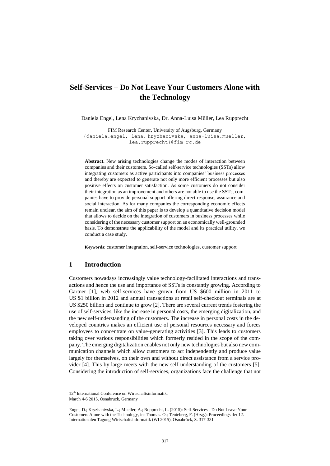# **Self-Services – Do Not Leave Your Customers Alone with the Technology**

Daniela Engel, Lena Kryzhanivska, Dr. Anna-Luisa Müller, Lea Rupprecht

FIM Research Center, University of Augsburg, Germany {daniela.engel, lena. kryzhanivska, anna-luisa.mueller, lea.rupprecht}@fim-rc.de

**Abstract.** New arising technologies change the modes of interaction between companies and their customers. So-called self-service technologies (SSTs) allow integrating customers as active participants into companies' business processes and thereby are expected to generate not only more efficient processes but also positive effects on customer satisfaction. As some customers do not consider their integration as an improvement and others are not able to use the SSTs, companies have to provide personal support offering direct response, assurance and social interaction. As for many companies the corresponding economic effects remain unclear, the aim of this paper is to develop a quantitative decision model that allows to decide on the integration of customers in business processes while considering of the necessary customer support on an economically well-grounded basis. To demonstrate the applicability of the model and its practical utility, we conduct a case study.

**Keywords:** customer integration, self-service technologies, customer support

# **1 Introduction**

Customers nowadays increasingly value technology-facilitated interactions and transactions and hence the use and importance of SSTs is constantly growing. According to Gartner [1], web self-services have grown from US \$600 million in 2011 to US \$1 billion in 2012 and annual transactions at retail self-checkout terminals are at US \$250 billion and continue to grow [2]. There are several current trends fostering the use of self-services, like the increase in personal costs, the emerging digitalization, and the new self-understanding of the customers. The increase in personal costs in the developed countries makes an efficient use of personal resources necessary and forces employees to concentrate on value-generating activities [3]. This leads to customers taking over various responsibilities which formerly resided in the scope of the company. The emerging digitalization enables not only new technologies but also new communication channels which allow customers to act independently and produce value largely for themselves, on their own and without direct assistance from a service provider [4]. This by large meets with the new self-understanding of the customers [\[5\]](#page-13-0). Considering the introduction of self-services, organizations face the challenge that not

<sup>12</sup>th International Conference on Wirtschaftsinformatik, March 4-6 2015, Osnabrück, Germany

Engel, D.; Kryzhanivska, L.; Mueller, A.; Rupprecht, L. (2015): Self-Services - Do Not Leave Your Customers Alone with the Technology, in: Thomas. O.; Teuteberg, F. (Hrsg.): Proceedings der 12. Internationalen Tagung Wirtschaftsinformatik (WI 2015), Osnabrück, S. 317-331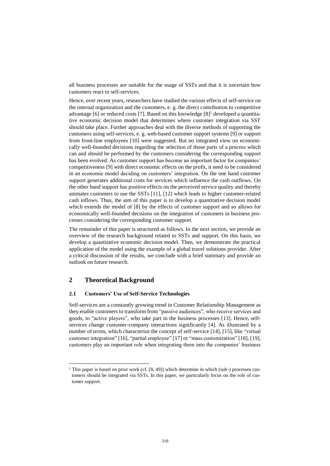all business processes are suitable for the usage of SSTs and that it is uncertain how customers react to self-services.

Hence, over recent years, researchers have studied the various effects of self-service on the internal organization and the customers, e. g. the direct contribution to competitive advantage [6] or reduced costs [7]. Based on this knowledge  $[8]$ <sup>1</sup> developed a quantitative economic decision model that determines where customer integration via SST should take place. Further approaches deal with the diverse methods of supporting the customers using self-services, e. g. web-based customer support systems [9] or support from front-line employees [10] were suggested. But no integrated view on economically well-founded decisions regarding the selection of those parts of a process which can and should be performed by the customers considering the corresponding support has been evolved. As customer support has become an important factor for companies' competitiveness [9] with direct economic effects on the profit, it need to be considered in an economic model deciding on customers' integration. On the one hand customer support generates additional costs for services which influence the cash outflows. On the other hand support has positive effects on the perceived service quality and thereby animates customers to use the SSTs [\[11\]](#page-14-0), [\[12\]](#page-14-1) which leads to higher customer-related cash inflows. Thus, the aim of this paper is to develop a quantitative decision model which extends the model of [\[8\]](#page-13-1) by the effects of customer support and so allows for economically well-founded decisions on the integration of customers in business processes considering the corresponding customer support.

The remainder of this paper is structured as follows. In the next section, we provide an overview of the research background related to SSTs and support. On this basis, we develop a quantitative economic decision model. Then, we demonstrate the practical application of the model using the example of a global travel solutions provider. After a critical discussion of the results, we conclude with a brief summary and provide an outlook on future research.

## **2 Theoretical Background**

l

## **2.1 Customers' Use of Self-Service Technologies**

Self-services are a constantly growing trend in Customer Relationship Management as they enable customers to transform from "passive audiences", who receive services and goods, to "active players", who take part in the business processes [13]. Hence, selfservices change customer-company interactions significantly [4]. As illustrated by a number of terms, which characterize the concept of self-service [14], [15], like "virtual customer integration" [16], "partial employee" [17] or "mass customization" [18], [19], customers play an important role when integrating them into the companies' business

 $1$  This paper is based on prior work (cf.  $[8, 49]$ ) which determine in which (sub-) processes customers should be integrated via SSTs. In this paper, we particularly focus on the role of customer support.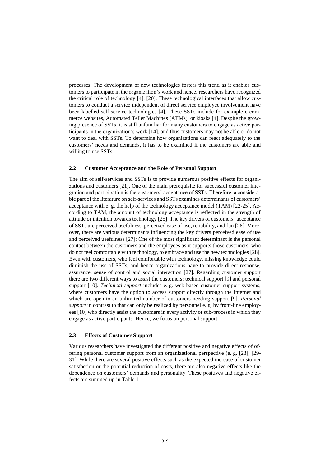processes. The development of new technologies fosters this trend as it enables customers to participate in the organization's work and hence, researchers have recognized the critical role of technology [4], [20]. These technological interfaces that allow customers to conduct a service independent of direct service employee involvement have been labelled self-service technologies [4]. These SSTs include for example e-commerce websites, Automated Teller Machines (ATMs), or kiosks [4]. Despite the growing presence of SSTs, it is still unfamiliar for many customers to engage as active participants in the organization's work [14], and thus customers may not be able or do not want to deal with SSTs. To determine how organizations can react adequately to the customers' needs and demands, it has to be examined if the customers are able and willing to use SSTs.

## **2.2 Customer Acceptance and the Role of Personal Support**

The aim of self-services and SSTs is to provide numerous positive effects for organizations and customers [21]. One of the main prerequisite for successful customer integration and participation is the customers' acceptance of SSTs. Therefore, a considerable part of the literature on self-services and SSTs examines determinants of customers' acceptance with e. g. the help of the technology acceptance model (TAM) [22-25]. According to TAM, the amount of technology acceptance is reflected in the strength of attitude or intention towards technology [25]. The key drivers of customers' acceptance of SSTs are perceived usefulness, perceived ease of use, reliability, and fun [26]. Moreover, there are various determinants influencing the key drivers perceived ease of use and perceived usefulness [27]: One of the most significant determinant is the personal contact between the customers and the employees as it supports those customers, who do not feel comfortable with technology, to embrace and use the new technologies [28]. Even with customers, who feel comfortable with technology, missing knowledge could diminish the use of SSTs, and hence organizations have to provide direct response, assurance, sense of control and social interaction [27]. Regarding customer support there are two different ways to assist the customers: technical support [9] and personal support [10]. *Technical support* includes e. g. web-based customer support systems, where customers have the option to access support directly through the Internet and which are open to an unlimited number of customers needing support [9]. *Personal support* in contrast to that can only be realized by personnel e. g. by front-line employees [10] who directly assist the customers in every activity or sub-process in which they engage as active participants. Hence, we focus on personal support.

## **2.3 Effects of Customer Support**

Various researchers have investigated the different positive and negative effects of offering personal customer support from an organizational perspective (e. g. [23], [29- 31]. While there are several positive effects such as the expected increase of customer satisfaction or the potential reduction of costs, there are also negative effects like the dependence on customers' demands and personality. These positives and negative effects are summed up in [Table 1.](#page-4-0)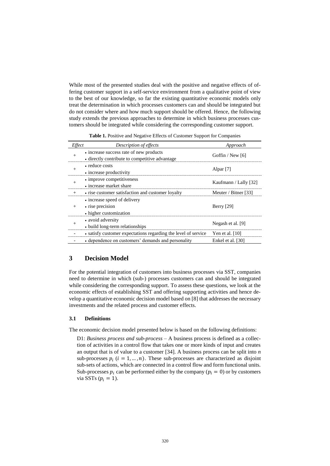While most of the presented studies deal with the positive and negative effects of offering customer support in a self-service environment from a qualitative point of view to the best of our knowledge, so far the existing quantitative economic models only treat the determination in which processes customers can and should be integrated but do not consider where and how much support should be offered. Hence, the following study extends the previous approaches to determine in which business processes customers should be integrated while considering the corresponding customer support.

<span id="page-4-0"></span>

| <i>Effect</i> | Description of effects                                                                    | Approach              |
|---------------|-------------------------------------------------------------------------------------------|-----------------------|
|               | • increase success rate of new products<br>- directly contribute to competitive advantage | Goffin / New $[6]$    |
|               | • reduce costs<br>• increase productivity                                                 | Alpar <sup>[7]</sup>  |
|               | • improve competitiveness<br>• increase market share                                      | Kaufmann / Lally [32] |
|               | • rise customer satisfaction and customer loyalty                                         | Meuter / Bitner [33]  |
|               | • increase speed of delivery<br>• rise precision<br>• higher customization                | Berry [29]            |
|               | • avoid adversity<br>• build long-term relationships                                      | Negash et al. [9]     |
|               | • satisfy customer expectations regarding the level of service Yen et al. [10]            |                       |
|               | • dependence on customers' demands and personality                                        | Enkel et al. [30]     |

Table 1. Positive and Negative Effects of Customer Support for Companies

# **3 Decision Model**

For the potential integration of customers into business processes via SST, companies need to determine in which (sub-) processes customers can and should be integrated while considering the corresponding support. To assess these questions, we look at the economic effects of establishing SST and offering supporting activities and hence develop a quantitative economic decision model based on [\[8\]](#page-13-1) that addresses the necessary investments and the related process and customer effects.

## **3.1 Definitions**

The economic decision model presented below is based on the following definitions:

D1: *Business process and sub-process* – A business process is defined as a collection of activities in a control flow that takes one or more kinds of input and creates an output that is of value to a customer [\[34\]](#page-15-0). A business process can be split into *n* sub-processes  $p_i$  ( $i = 1, ..., n$ ). These sub-processes are characterized as disjoint sub-sets of actions, which are connected in a control flow and form functional units. Sub-processes  $p_i$  can be performed either by the company ( $p_i = 0$ ) or by customers via SSTs  $(p_i = 1)$ .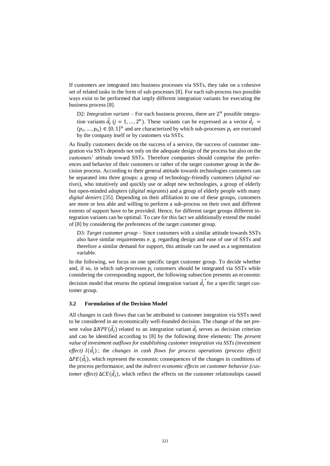If customers are integrated into business processes via SSTs, they take on a cohesive set of related tasks in the form of sub-processes [\[8\]](#page-13-1). For each sub-process two possible ways exist to be performed that imply different integration variants for executing the business process [\[8\]](#page-13-1).

D2: *Integration variant* – For each business process, there are  $2^n$  possible integration variants  $\vec{d}_j$  ( $j = 1, ..., 2^n$ ). These variants can be expressed as a vector  $\vec{d}_j$  =  $(p_1, ..., p_n) \in \{0, 1\}^n$  and are characterized by which sub-processes  $p_i$  are executed by the company itself or by customers via SSTs.

As finally customers decide on the success of a service, the success of customer integration via SSTs depends not only on the adequate design of the process but also on the customers' attitude toward SSTs. Therefore companies should comprise the preferences and behavior of their customers or rather of the target customer group in the decision process. According to their general attitude towards technologies customers can be separated into three groups: a group of technology-friendly customers (*digital natives*), who intuitively and quickly use or adopt new technologies, a group of elderly but open-minded adopters (*digital migrants*) and a group of elderly people with many *digital deniers* [\[35\]](#page-15-3). Depending on their affiliation to one of these groups, customers are more or less able and willing to perform a sub-process on their own and different extents of support have to be provided. Hence, for different target groups different integration variants can be optimal. To care for this fact we additionally extend the model of [\[8\]](#page-13-1) by considering the preferences of the target customer group.

D3: *Target customer group* – Since customers with a similar attitude towards SSTs also have similar requirements e. g. regarding design and ease of use of SSTs and therefore a similar demand for support, this attitude can be used as a segmentation variable.

In the following, we focus on one specific target customer group. To decide whether and, if so, in which sub-processes  $p_i$  customers should be integrated via SSTs while considering the corresponding support, the following subsection presents an economic decision model that returns the optimal integration variant  $\vec{d}_j$ ∗ for a specific target customer group.

## **3.2 Formulation of the Decision Model**

All changes in cash flows that can be attributed to customer integration via SSTs need to be considered in an economically well-founded decision. The change of the net present value  $\Delta NPV(\vec{d}_j)$  related to an integration variant  $\vec{d}_j$  serves as decision criterion and can be identified according to [\[8\]](#page-13-1) by the following three elements: The *present value of investment outflows for establishing customer integration via SSTs (investment effect)*  $I(\vec{d}_j)$ ; the *changes in cash flows for process operations (process effect)*  $\Delta PE(\vec{d}_j)$ , which represent the economic consequences of the changes in conditions of the process performance; and the *indirect economic effects on customer behavior (customer effect)*  $\Delta CE(\vec{d}_j)$ , which reflect the effects on the customer relationships caused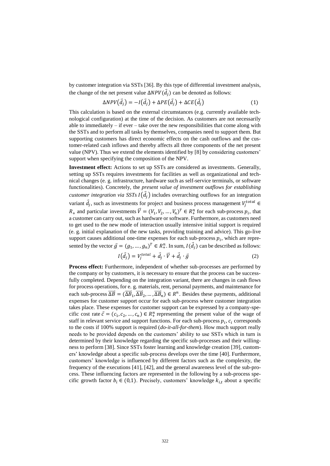by customer integration via SSTs [36]. By this type of differential investment analysis, the change of the net present value  $\Delta NPV(\vec{d}_j)$  can be denoted as follows:

$$
\Delta NPV(\vec{d}_j) = -I(\vec{d}_j) + \Delta PE(\vec{d}_j) + \Delta CE(\vec{d}_j)
$$
(1)

This calculation is based on the external circumstances (e.g. currently available technological configuration) at the time of the decision. As customers are not necessarily able to immediately – if ever – take over the new responsibilities that come along with the SSTs and to perform all tasks by themselves, companies need to support them. But supporting customers has direct economic effects on the cash outflows and the customer-related cash inflows and thereby affects all three components of the net present value (NPV). Thus we extend the elements identified by [\[8\]](#page-13-1) by considering customers' support when specifying the composition of the NPV.

**Investment effect:** Actions to set up SSTs are considered as investments. Generally, setting up SSTs requires investments for facilities as well as organizational and technical changes (e. g. infrastructure, hardware such as self-service terminals, or software functionalities). Concretely, the *present value of investment outflows for establishing customer integration via SSTs*  $I(\vec{d}_j)$  includes overarching outflows for an integration variant  $\vec{d}_j$ , such as investments for project and business process management  $V_j^{total} \in$  $R_+$  and particular investments  $\vec{V} = (V_1, V_2, ..., V_n)^T \in R_+^n$  for each sub-process  $p_i$ , that a customer can carry out, such as hardware or software. Furthermore, as customers need to get used to the new mode of interaction usually intensive initial support is required (e. g. initial explanation of the new tasks, providing training and advice). This go-live support causes additional one-time expenses for each sub-process  $p_i$ , which are represented by the vector  $\vec{g} = (g_1, ..., g_n)^T \in R_+^n$ . In sum,  $I(\vec{d}_j)$  can be described as follows:

$$
I(\vec{d}_j) = V_j^{total} + \vec{d}_j \cdot \vec{V} + \vec{d}_j \cdot \vec{g}
$$
 (2)

**Process effect:** Furthermore, independent of whether sub-processes are performed by the company or by customers, it is necessary to ensure that the process can be successfully completed. Depending on the integration variant, there are changes in cash flows for process operations, for e. g. materials, rent, personal payments, and maintenance for each sub-process  $\overline{\Delta B} = (\overline{\Delta B}_1, \overline{\Delta B}_2, ..., \overline{\Delta B}_n) \in R^n$ . Besides these payments, additional expenses for customer support occur for each sub-process where customer integration takes place. These expenses for customer support can be expressed by a company-specific cost rate  $\vec{c} = (c_1, c_2, ..., c_n) \in R_+^n$  representing the present value of the wage of staff in relevant service and support functions. For each sub-process  $p_i$ ,  $c_i$  corresponds to the costs if 100% support is required (*do-it-all-for-them*). How much support really needs to be provided depends on the customers' ability to use SSTs which in turn is determined by their knowledge regarding the specific sub-processes and their willingness to perform [\[38\]](#page-15-4). Since SSTs foster learning and knowledge creation [39], customers' knowledge about a specific sub-process develops over the time [40]. Furthermore, customers' knowledge is influenced by different factors such as the complexity, the frequency of the executions [41], [42], and the general awareness level of the sub-process. These influencing factors are represented in the following by a sub-process specific growth factor  $b_i \in (0,1)$ . Precisely, customers' knowledge  $k_{i,t}$  about a specific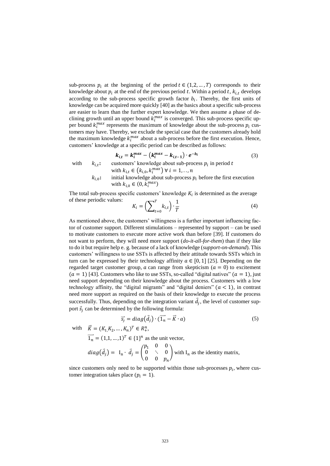sub-process  $p_i$  at the beginning of the period  $t \in (1, 2, ..., T)$  corresponds to their knowledge about  $p_i$  at the end of the previous period t. Within a period t,  $k_{i,t}$  develops according to the sub-process specific growth factor  $b_i$ . Thereby, the first units of knowledge can be acquired more quickly [40] as the basics about a specific sub-process are easier to learn than the further expert knowledge. We then assume a phase of declining growth until an upper bound  $k_i^{max}$  is converged. This sub-process specific upper bound  $k_i^{max}$  represents the maximum of knowledge about the sub-process  $p_i$  customers may have. Thereby, we exclude the special case that the customers already hold the maximum knowledge  $k_i^{max}$  about a sub-process before the first execution. Hence, customers' knowledge at a specific period can be described as follows:

$$
k_{i,t} = k_i^{max} - (k_i^{max} - k_{i,t-1}) \cdot e^{-b_i}
$$
 (3)

with  $k_{i,t}$ :

with  $k_{i,t} \in (k_{i,0}, k_i^{max}) \ \forall \ i = 1, ..., n$  $k_{i,0}$ : initial knowledge about sub-process  $p_i$  before the first execution with  $k_{i,0} \in (0, k_i^{max})$ 

The total sub-process specific customers' knowledge  $K_i$  is determined as the average of these periodic values: T

**:** customers' knowledge about sub-process  $p_i$  in period t

$$
K_i = \left(\sum_{t=0}^T k_{i,t}\right) \cdot \frac{1}{T} \tag{4}
$$

As mentioned above, the customers' willingness is a further important influencing factor of customer support. Different stimulations – represented by support – can be used to motivate customers to execute more active work than before [39]. If customers do not want to perform, they will need more support (*do-it-all-for-them*) than if they like to do it but require help e. g. because of a lack of knowledge (*support-on-demand*). This customers' willingness to use SSTs is affected by their attitude towards SSTs which in turn can be expressed by their technology affinity  $a \in [0, 1]$  [25]. Depending on the regarded target customer group,  $\alpha$  can range from skepticism ( $\alpha = 0$ ) to excitement  $(a = 1)$  [43]. Customers who like to use SSTs, so-called "digital natives"  $(a = 1)$ , just need support depending on their knowledge about the process. Customers with a low technology affinity, the "digital migrants" and "digital deniers"  $(a < 1)$ , in contrast need more support as required on the basis of their knowledge to execute the process successfully. Thus, depending on the integration variant  $\vec{d}_j$ , the level of customer support  $\vec{s}_i$  can be determined by the following formula:

$$
\overrightarrow{s_j} = diag(\overrightarrow{d_j}) \cdot (\overrightarrow{1_n} - \overrightarrow{K} \cdot a)
$$
 (5)

with  $\vec{K} = (K_1, K_2, ..., K_n)^T \in R_+^n$ ,

 $\overrightarrow{1_n} = (1,1,\dots,1)^T \in \{1\}^n$  as the unit vector,

diag(
$$
\vec{d}_j
$$
) = I<sub>n</sub> ·  $\vec{d}_j$  =  $\begin{pmatrix} p_1 & 0 & 0 \\ 0 & \ddots & 0 \\ 0 & 0 & p_n \end{pmatrix}$  with I<sub>n</sub> as the identity matrix,

since customers only need to be supported within those sub-processes  $p_i$ , where customer integration takes place  $(p_i = 1)$ .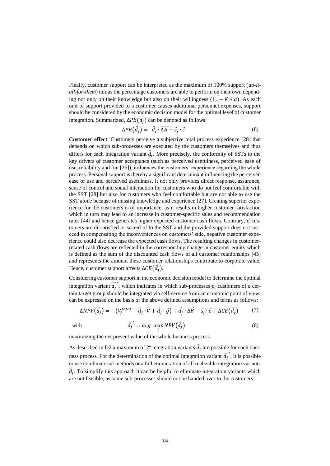Finally, customer support can be interpreted as the maximum of 100% support (*do-itall-for-them*) minus the percentage customers are able to perform on their own depending not only on their knowledge but also on their willingness  $(\overrightarrow{1_n} - \overrightarrow{K} * a)$ . As each unit of support provided to a customer causes additional personnel expenses, support should be considered by the economic decision model for the optimal level of customer integration. Summarized,  $\Delta PE(\vec{d}_j)$  can be denoted as follows:

$$
\Delta PE\left(\vec{d}_j\right) = \vec{d}_j \cdot \overrightarrow{\Delta B} - \vec{s}_j \cdot \vec{c} \tag{6}
$$

**Customer effect**: Customers perceive a subjective total process experience [28] that depends on which sub-processes are executed by the customers themselves and thus differs for each integration variant  $\vec{d}_j$ . More precisely, the conformity of SSTs to the key drivers of customer acceptance (such as perceived usefulness, perceived ease of use, reliability and fun [26]), influences the customers' experience regarding the whole process. Personal support is thereby a significant determinant influencing the perceived ease of use and perceived usefulness. It not only provides direct response, assurance, sense of control and social interaction for customers who do not feel comfortable with the SST [28] but also for customers who feel comfortable but are not able to use the SST alone because of missing knowledge and experience [27]. Creating superior experience for the customers is of importance, as it results in higher customer satisfaction which in turn may lead to an increase in customer-specific sales and recommendation rates [44] and hence generates higher expected customer cash flows. Contrary, if customers are dissatisfied or scared of to the SST and the provided support does not succeed in compensating the inconveniences on customers' side, negative customer experience could also decrease the expected cash flows. The resulting changes in customerrelated cash flows are reflected in the corresponding change in customer equity which is defined as the sum of the discounted cash flows of all customer relationships [45] and represents the amount these customer relationships contribute to corporate value. Hence, customer support affects  $\Delta CE(\vec{d}_j)$ .

Considering customer support in the economic decision model to determine the optimal integration variant  $\overline{d_j}^*$ , which indicates in which sub-processes  $p_i$  customers of a certain target group should be integrated via self-service from an economic point of view, can be expressed on the basis of the above defined assumptions and terms as follows:

$$
\Delta NPV(\vec{d}_j) = -(V_j^{total} + \vec{d}_j \cdot \vec{V} + \vec{d}_j \cdot \vec{g}) + \vec{d}_j \cdot \overline{\Delta B} - \vec{s}_j \cdot \vec{c} + \Delta CE(\vec{d}_j)
$$
(7)

with

$$
\overrightarrow{d_j}^* = \arg \max_j NPV(\overrightarrow{d_j})
$$
\n(8)

maximizing the net present value of the whole business process.

As described in D2 a maximum of  $2<sup>n</sup>$  integration variants  $\vec{d}_j$  are possible for each business process. For the determination of the optimal integration variant  $\vec{d}_j$ ∗ , it is possible to use combinatorial methods or a full enumeration of all realizable integration variants  $\vec{d}_j$ . To simplify this approach it can be helpful to eliminate integration variants which are not feasible, as some sub-processes should not be handed over to the customers.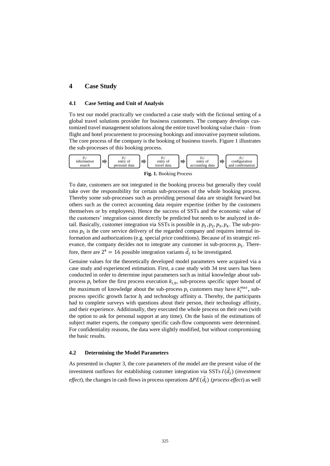# **4 Case Study**

### **4.1 Case Setting and Unit of Analysis**

To test our model practically we conducted a case study with the fictional setting of a global travel solutions provider for business customers. The company develops customized travel management solutions along the entire travel booking value chain – from flight and hotel procurement to processing bookings and innovative payment solutions. The core process of the company is the booking of business travels. Figure 1 illustrates the sub-processes of this booking process.



**Fig. 1.** Booking Process

To date, customers are not integrated in the booking process but generally they could take over the responsibility for certain sub-processes of the whole booking process. Thereby some sub-processes such as providing personal data are straight forward but others such as the correct accounting data require expertise (either by the customers themselves or by employees). Hence the success of SSTs and the economic value of the customers' integration cannot directly be predicted but needs to be analyzed in detail. Basically, customer integration via SSTs is possible in  $p_1$ ,  $p_2$ ,  $p_3$ ,  $p_4$ . The sub-process  $p_5$  is the core service delivery of the regarded company and requires internal information and authorizations (e.g. special price conditions). Because of its strategic relevance, the company decides not to integrate any customer in sub-process  $p_5$ . Therefore, there are  $2^4 = 16$  possible integration variants  $\vec{d}_j$  to be investigated.

Genuine values for the theoretically developed model parameters were acquired via a case study and experienced estimation. First, a case study with 34 test users has been conducted in order to determine input parameters such as initial knowledge about subprocess  $p_i$  before the first process execution  $k_{i,0}$ , sub-process specific upper bound of the maximum of knowledge about the sub-process  $p_i$  customers may have  $k_i^{max}$ , subprocess specific growth factor  $b_i$  and technology affinity  $a$ . Thereby, the participants had to complete surveys with questions about their person, their technology affinity, and their experience. Additionally, they executed the whole process on their own (with the option to ask for personal support at any time). On the basis of the estimations of subject matter experts, the company specific cash-flow components were determined. For confidentiality reasons, the data were slightly modified, but without compromising the basic results.

### **4.2 Determining the Model Parameters**

As presented in chapter 3, the core parameters of the model are the present value of the investment outflows for establishing customer integration via SSTs  $I(\vec{d}_j)$  (*investment effect*), the changes in cash flows in process operations  $\Delta PE(\vec{d}_j)$  (*process effect*) as well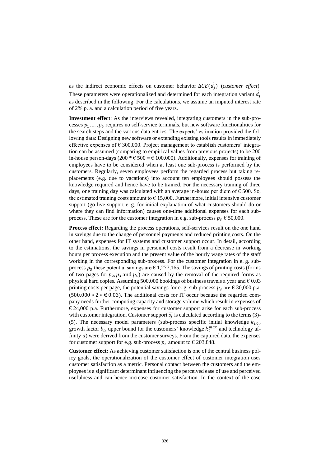as the indirect economic effects on customer behavior  $\Delta CE(\vec{d}_j)$  (*customer effect*). These parameters were operationalized and determined for each integration variant  $\vec{d}_j$ as described in the following. For the calculations, we assume an imputed interest rate of 2% p. a. and a calculation period of five years.

**Investment effect**: As the interviews revealed, integrating customers in the sub-processes  $p_1, \ldots, p_4$  requires no self-service terminals, but new software functionalities for the search steps and the various data entries. The experts' estimation provided the following data: Designing new software or extending existing tools results in immediately effective expenses of  $\epsilon$  300,000. Project management to establish customers' integration can be assumed (comparing to empirical values from previous projects) to be 200 in-house person-days (200  $* \in 500 = 6100,000$ ). Additionally, expenses for training of employees have to be considered when at least one sub-process is performed by the customers. Regularly, seven employees perform the regarded process but taking replacements (e.g. due to vacations) into account ten employees should possess the knowledge required and hence have to be trained. For the necessary training of three days, one training day was calculated with an average in-house per diem of  $\epsilon$  500. So, the estimated training costs amount to  $\epsilon$  15,000. Furthermore, initial intensive customer support (go-live support e. g. for initial explanation of what customers should do or where they can find information) causes one-time additional expenses for each subprocess. These are for the customer integration in e.g. sub-process  $p_3 \n\in 50,000$ .

**Process effect:** Regarding the process operations, self-services result on the one hand in savings due to the change of personnel payments and reduced printing costs. On the other hand, expenses for IT systems and customer support occur. In detail, according to the estimations, the savings in personnel costs result from a decrease in working hours per process execution and the present value of the hourly wage rates of the staff working in the corresponding sub-process. For the customer integration in e. g. subprocess  $p_3$  these potential savings are  $\epsilon$  1,277,165. The savings of printing costs (forms of two pages for  $p_2$ ,  $p_3$  and  $p_4$ ) are caused by the removal of the required forms as physical hard copies. Assuming 500,000 bookings of business travels a year and  $\epsilon$  0.03 printing costs per page, the potential savings for e. g. sub-process  $p_3$  are  $\epsilon$  30,000 p.a.  $(500,000 * 2 * \text{\textsterling} 0.03)$ . The additional costs for IT occur because the regarded company needs further computing capacity and storage volume which result in expenses of  $\epsilon$  24,000 p.a. Furthermore, expenses for customer support arise for each sub-process with customer integration. Customer support  $\vec{s}_j$  is calculated according to the terms (3)-(5). The necessary model parameters (sub-process specific initial knowledge  $k_{i,0}$ , growth factor  $b_i$ , upper bound for the customers' knowledge  $k_i^{max}$  and technology affinity  $a$ ) were derived from the customer surveys. From the captured data, the expenses for customer support for e.g. sub-process  $p_3$  amount to  $\epsilon$  203,848.

**Customer effect:** As achieving customer satisfaction is one of the central business policy goals, the operationalization of the customer effect of customer integration uses customer satisfaction as a metric. Personal contact between the customers and the employees is a significant determinant influencing the perceived ease of use and perceived usefulness and can hence increase customer satisfaction. In the context of the case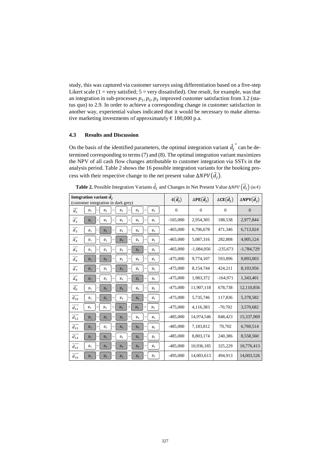study, this was captured via customer surveys using differentiation based on a five-step Likert scale ( $1 = \text{very satisfied}$ ;  $5 = \text{very dissatisfied}$ ). One result, for example, was that an integration in sub-processes  $p_1$ ,  $p_2$ ,  $p_3$  improved customer satisfaction from 3.2 (status quo) to 2.9. In order to achieve a corresponding change in customer satisfaction in another way, experiential values indicated that it would be necessary to make alternative marketing investments of approximately  $\epsilon$  180,000 p.a.

#### **4.3 Results and Discussion**

On the basis of the identified parameters, the optimal integration variant  $\vec{d}_j$ ∗ can be determined corresponding to terms (7) and (8). The optimal integration variant maximizes the NPV of all cash flow changes attributable to customer integration via SSTs in the analysis period. Table 2 shows the 16 possible integration variants for the booking process with their respective change to the net present value  $\Delta NPV(\vec{d}_j)$ .

| Integration variant $\overline{d}_i$<br>(customer integration in dark grey)                             | $-I(\vec{d}_i)$ | $\Delta PE(\vec{d}_i)$ | $\Delta CE(\vec{d}_i)$ | $\triangle NPV(\vec{d}_i)$ |
|---------------------------------------------------------------------------------------------------------|-----------------|------------------------|------------------------|----------------------------|
| $\overline{d_1}$<br>$p_1$<br>p <sub>2</sub><br>$p_3$<br>$p_4$<br>p <sub>5</sub>                         | $\mathbf{0}$    | $\mathbf{0}$           | $\mathbf{0}$           | $\overline{0}$             |
| $\overrightarrow{d_2}$<br>p <sub>2</sub><br>$p_4$<br>$p_1$<br>$p_3$<br>p <sub>5</sub>                   | $-165,000$      | 2,954,305              | 188,538                | 2,977,844                  |
| $\overrightarrow{d_3}$<br>$p_1$<br>p <sub>2</sub><br>$p_3$<br>$p_4$<br>$p_{5}$                          | $-465,000$      | 6,706,678              | 471,346                | 6,713,024                  |
| $\overrightarrow{d_4}$<br>$p_1$<br>p <sub>2</sub><br>$p_4$<br>$p_3$<br>p <sub>5</sub>                   | $-465,000$      | 5,087,316              | 282,808                | 4,905,124                  |
| $\overrightarrow{d_5}$<br>$\mathsf{p}_1$<br>p <sub>2</sub><br>$p_3$<br>p <sub>4</sub><br>p <sub>5</sub> | $-465,000$      | $-1,084,056$           | $-235,673$             | $-1,784,729$               |
| $\overrightarrow{d_6}$<br>$p_1$<br>p <sub>2</sub><br>$p_3$<br>$p_4$<br>$p_{5}$                          | $-475,000$      | 9,774,107              | 593,896                | 9,893,003                  |
| $\overrightarrow{d_7}$<br>$p_1$<br>p <sub>2</sub><br>$p_4$<br>p <sub>5</sub><br>$p_3$                   | $-475,000$      | 8,154,744              | 424,211                | 8,103,956                  |
| $\overline{d_8}$<br>p <sub>2</sub><br>$p_1$<br>$p_3$<br>$p_4$<br>p <sub>5</sub>                         | $-475,000$      | 1,983,372              | $-164.971$             | 1,343,401                  |
| $\overrightarrow{d_9}$<br>$p_1$<br>p <sub>2</sub><br>p <sub>3</sub><br>$p_4$<br>p <sub>5</sub>          | $-475,000$      | 11,907,118             | 678,738                | 12,110,856                 |
| $\overrightarrow{d_{10}}$<br>$p_1$<br>$p_4$<br>p <sub>2</sub><br>$p_3$<br>p <sub>5</sub>                | $-475,000$      | 5,735,746              | 117,836                | 5,378,582                  |
| $\overrightarrow{d_{11}}$<br>$p_1$<br>p <sub>2</sub><br>$p_3$<br>$p_4$<br>p <sub>5</sub>                | $-475,000$      | 4,116,383              | $-70,702$              | 3,570,682                  |
| $\overrightarrow{d_{12}}$<br>$p_1$<br>p <sub>2</sub><br>$p_4$<br>p <sub>5</sub><br>$p_3$                | $-485,000$      | 14,974,546             | 848,423                | 15,337,969                 |
| $\overline{d_{13}}$<br>p <sub>2</sub><br>p <sub>4</sub><br>$p_1$<br>$p_3$<br>p <sub>5</sub>             | $-485,000$      | 7,183,812              | 70,702                 | 6,769,514                  |
| $\overrightarrow{d_{14}}$<br>$p_1$<br>p <sub>2</sub><br>$p_3$<br>$p_4$<br>p <sub>5</sub>                | $-485,000$      | 8,803,174              | 240,386                | 8,558,560                  |
| $\overrightarrow{d_{15}}$<br>$p_1$<br>p <sub>2</sub><br>$p_3$<br>p <sub>4</sub><br>p <sub>5</sub>       | $-485,000$      | 10,936,185             | 325,229                | 10,776,413                 |
| $\overline{d_{16}}$<br>p <sub>5</sub><br>$p_1$<br>p <sub>2</sub><br>$p_3$<br>p <sub>4</sub>             | $-495,000$      | 14,003,613             | 494,913                | 14,003,526                 |

**Table 2.** Possible Integration Variants  $\vec{d}_j$  and Changes in Net Present Value ∆NPV  $\left(\vec{d}_j\right)$  (in €)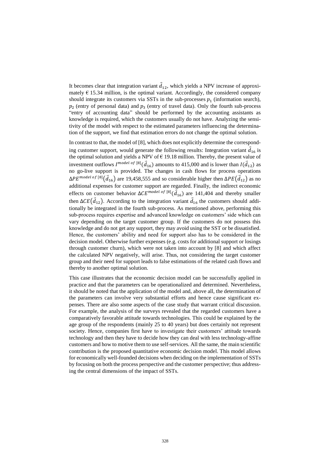It becomes clear that integration variant  $\vec{d}_{12}$ , which yields a NPV increase of approximately  $\epsilon$  15.34 million, is the optimal variant. Accordingly, the considered company should integrate its customers via SSTs in the sub-processes  $p_1$  (information search),  $p_2$  (entry of personal data) and  $p_3$  (entry of travel data). Only the fourth sub-process "entry of accounting data" should be performed by the accounting assistants as knowledge is required, which the customers usually do not have. Analyzing the sensitivity of the model with respect to the estimated parameters influencing the determination of the support, we find that estimation errors do not change the optimal solution.

In contrast to that, the model of [\[8\]](#page-13-1), which does not explicitly determine the corresponding customer support, would generate the following results: Integration variant  $\vec{d}_{16}$  is the optimal solution and yields a NPV of  $\epsilon$  19.18 million. Thereby, the present value of investment outflows  $I^{model\; of\;[8]}(\vec{d}_{16})$  $I^{model\; of\;[8]}(\vec{d}_{16})$  $I^{model\; of\;[8]}(\vec{d}_{16})$  amounts to 415,000 and is lower than  $I(\vec{d}_{12})$  as no go-live support is provided. The changes in cash flows for process operations  $\Delta PE^{model\;of\;[8]}(\vec{d}_{16})$  $\Delta PE^{model\;of\;[8]}(\vec{d}_{16})$  $\Delta PE^{model\;of\;[8]}(\vec{d}_{16})$  are 19,458,555 and so considerable higher then  $\Delta PE(\vec{d}_{12})$  as no additional expenses for customer support are regarded. Finally, the indirect economic effects on customer behavior  $\Delta CE^{model\;of\;[8]}(\vec{d}_{16})$  $\Delta CE^{model\;of\;[8]}(\vec{d}_{16})$  $\Delta CE^{model\;of\;[8]}(\vec{d}_{16})$  are 141,404 and thereby smaller then  $\Delta CE(\vec{d}_{12})$ . According to the integration variant  $\vec{d}_{16}$  the customers should additionally be integrated in the fourth sub-process. As mentioned above, performing this sub-process requires expertise and advanced knowledge on customers' side which can vary depending on the target customer group. If the customers do not possess this knowledge and do not get any support, they may avoid using the SST or be dissatisfied. Hence, the customers' ability and need for support also has to be considered in the decision model. Otherwise further expenses (e.g. costs for additional support or losings through customer churn), which were not taken into account by [8] and which affect the calculated NPV negatively, will arise. Thus, not considering the target customer group and their need for support leads to false estimations of the related cash flows and thereby to another optimal solution.

This case illustrates that the economic decision model can be successfully applied in practice and that the parameters can be operationalized and determined. Nevertheless, it should be noted that the application of the model and, above all, the determination of the parameters can involve very substantial efforts and hence cause significant expenses. There are also some aspects of the case study that warrant critical discussion. For example, the analysis of the surveys revealed that the regarded customers have a comparatively favorable attitude towards technologies. This could be explained by the age group of the respondents (mainly 25 to 40 years) but does certainly not represent society. Hence, companies first have to investigate their customers' attitude towards technology and then they have to decide how they can deal with less technology-affine customers and how to motive them to use self-services. All the same, the main scientific contribution is the proposed quantitative economic decision model. This model allows for economically well-founded decisions when deciding on the implementation of SSTs by focusing on both the process perspective and the customer perspective; thus addressing the central dimensions of the impact of SSTs.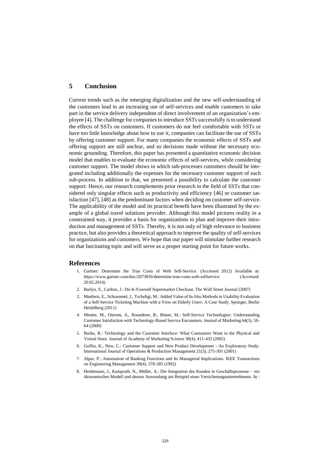## **5 Conclusion**

Current trends such as the emerging digitalization and the new self-understanding of the customers lead to an increasing use of self-services and enable customers to take part in the service delivery independent of direct involvement of an organization's employee [4]. The challenge for companies to introduce SSTssuccessfully is to understand the effects of SSTs on customers. If customers do not feel comfortable with SSTs or have too little knowledge about how to use it, companies can facilitate the use of SSTs by offering customer support. For many companies the economic effects of SSTs and offering support are still unclear, and so decisions made without the necessary economic grounding. Therefore, this paper has presented a quantitative economic decision model that enables to evaluate the economic effects of self-services, while considering customer support. The model shows in which sub-processes customers should be integrated including additionally the expenses for the necessary customer support of each sub-process. In addition to that, we presented a possibility to calculate the customer support. Hence, our research complements prior research in the field of SSTs that considered only singular effects such as productivity and efficiency [46] or customer satisfaction [47], [48] as the predominant factors when deciding on customer self-service. The applicability of the model and its practical benefit have been illustrated by the example of a global travel solutions provider. Although this model pictures reality in a constrained way, it provides a basis for organizations to plan and improve their introduction and management of SSTs. Thereby, it is not only of high relevance to business practice, but also provides a theoretical approach to improve the quality of self-services for organizations and customers. We hope that our paper will stimulate further research on that fascinating topic and will serve as a proper starting point for future works.

## **References**

- 1. Gartner: Determine the True Costs of Web Self-Service. (Accessed 2012) Available at: [https://www.gartner.com/doc/2073816/determine-true-costs-web-selfservice \(Accessed:](https://www.gartner.com/doc/2073816/determine-true-costs-web-selfservice%20(Accessed:%2020.02.2014))  [20.02.2014\)](https://www.gartner.com/doc/2073816/determine-true-costs-web-selfservice%20(Accessed:%2020.02.2014))
- 2. Barlyn, S., Carlton, J.: Do-It-Yourself Supermarket Checkout. The Wall Street Journal (2007)
- 3. Mattheis, E., Schrammel, J., Tscheligi, M.: Added Value of In-Situ Methods in Usability Evaluation of a Self-Service Ticketing Machine with a View on Elderly Users: A Case Study. Springer, Berlin Heidelberg (2011)
- 4. Meuter, M., Ostrom, A., Roundtree, R., Bitner, M.: Self-Service Technologies: Understanding Customer Satisfaction with Technology-Based Service Encounters. Journal of Marketing 64(3), 50- 64 (2000)
- <span id="page-13-0"></span>5. Burke, R.: Technology and the Customer Interface: What Consumers Want in the Physical and Virtual Store. Journal of Academy of Marketing Science 30(4), 411-432 (2002)
- 6. Goffin, K., New, C.: Customer Support and New Product Development An Exploratory Study. International Journal of Operations & Production Management 21(3), 275-301 (2001)
- 7. Alpar, P.: Automation of Banking Functions and Its Managerial Implications. IEEE Transactions on Engineering Management 39(4), 378-385 (1992)
- <span id="page-13-1"></span>8. Heidemann, J., Kamprath, N., Müller, A.: Die Integration des Kunden in Geschäftsprozesse – ein ökonomisches Modell und dessen Anwendung am Beispiel eines Versicherungsunternehmens. In :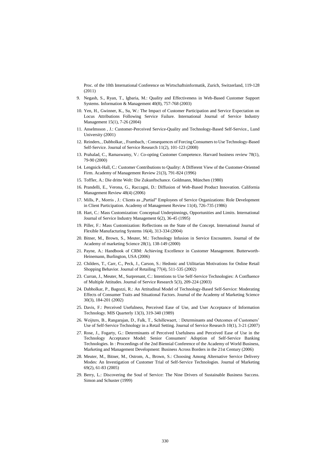Proc. of the 10th International Conference on Wirtschaftsinformatik, Zurich, Switzerland, 119-128 (2011)

- 9. Negash, S., Ryan, T., Igbaria, M.: Quality and Effectiveness in Web-Based Customer Support Systems. Information & Management 40(8), 757-768 (2003)
- 10. Yen, H., Gwinner, K., Su, W.: The Impact of Customer Participation and Service Expectation on Locus Attributions Following Service Failure. International Journal of Service Industry Management 15(1), 7-26 (2004)
- <span id="page-14-0"></span>11. Anselmsson , J.: Customer-Perceived Service-Quality and Technology-Based Self-Service., Lund University (2001)
- <span id="page-14-1"></span>12. Reinders, , Dabholkar, , Frambach, : Consequences of Forcing Consumers to Use Technology-Based Self-Service. Journal of Service Research 11(2), 101-123 (2008)
- 13. Prahalad, C., Ramaswamy, V.: Co-opting Customer Competence. Harvard business review 78(1), 79-90 (2000)
- 14. Lengnick-Hall, C.: Customer Contributions to Quality: A Different View of the Customer-Oriented Firm. Academy of Management Review 21(3), 791-824 (1996)
- 15. Toffler, A.: Die dritte Welt: Die Zukunftschance. Goldmann, München (1980)
- 16. Prandelli, E., Verona, G., Raccagni, D.: Diffusion of Web-Based Product Innovation. California Management Review 48(4) (2006)
- 17. Mills, P., Morris , J.: Clients as "Partial" Employees of Service Organizations: Role Development in Client Participation. Academy of Management Review 11(4), 726-735 (1986)
- 18. Hart, C.: Mass Customization: Conceptual Underpinnings, Opportunities and Limits. International Journal of Service Industry Management 6(2), 36-45 (1995)
- 19. Piller, F.: Mass Customization: Reflections on the State of the Concept. International Journal of Flexible Manufacturing Systems 16(4), 313-334 (2004)
- 20. Bitner, M., Brown, S., Meuter, M.: Technology Infusion in Service Encounters. Journal of the Academy of marketing Science 28(1), 138-149 (2000)
- 21. Payne, A.: Handbook of CRM: Achieving Excellence in Customer Management. Butterworth-Heinemann, Burlington, USA (2006)
- 22. Childers, T., Carr, C., Peck, J., Carson, S.: Hedonic and Utilitarian Motivations for Online Retail Shopping Behavior. Journal of Retailing 77(4), 511-535 (2002)
- 23. Curran, J., Meuter, M., Surprenant, C.: Intentions to Use Self-Service Technologies: A Confluence of Multiple Attitudes. Journal of Service Research 5(3), 209-224 (2003)
- 24. Dabholkar, P., Bagozzi, R.: An Attitudinal Model of Technology-Based Self-Service: Moderating Effects of Consumer Traits and Situational Factors. Journal of the Academy of Marketing Science 30(3), 184-201 (2002)
- 25. Davis, F.: Perceived Usefulness, Perceived Ease of Use, and User Acceptance of Information Technology. MIS Quarterly 13(3), 319-340 (1989)
- 26. Weijters, B., Rangarajan, D., Falk, T., Schillewaert, : Determinants and Outcomes of Customers' Use of Self-Service Technology in a Retail Setting. Journal of Service Research 10(1), 3-21 (2007)
- 27. Rose, J., Fogarty, G.: Determinants of Perceived Usefulness and Perceived Ease of Use in the Technology Acceptance Model: Senior Consumers' Adoption of Self-Service Banking Technologies. In : Proceedings of the 2nd Biennial Conference of the Academy of World Business, Marketing and Management Development: Business Across Borders in the 21st Century (2006)
- 28. Meuter, M., Bitner, M., Ostrom, A., Brown, S.: Choosing Among Alternative Service Delivery Modes: An Investigation of Customer Trial of Self-Service Technologies. Journal of Marketing 69(2), 61-83 (2005)
- 29. Berry, L.: Discovering the Soul of Service: The Nine Drivers of Sustainable Business Success. Simon and Schuster (1999)